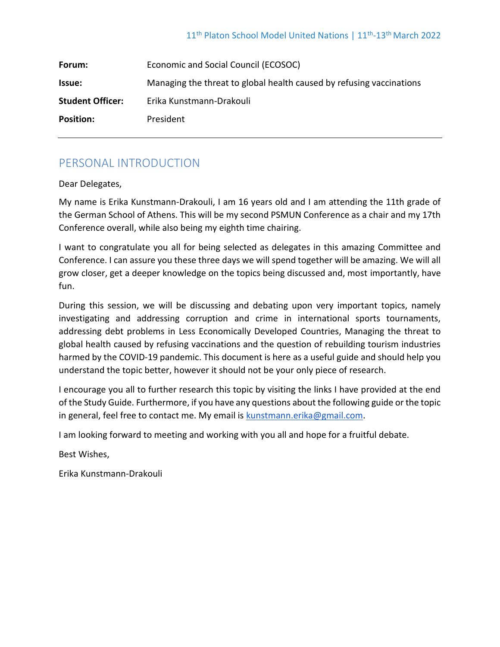| Forum:                  | Economic and Social Council (ECOSOC)                                 |  |
|-------------------------|----------------------------------------------------------------------|--|
| <b>Issue:</b>           | Managing the threat to global health caused by refusing vaccinations |  |
| <b>Student Officer:</b> | Erika Kunstmann-Drakouli                                             |  |
| <b>Position:</b>        | President                                                            |  |
|                         |                                                                      |  |

# PERSONAL INTRODUCTION

Dear Delegates,

My name is Erika Kunstmann-Drakouli, I am 16 years old and I am attending the 11th grade of the German School of Athens. This will be my second PSMUN Conference as a chair and my 17th Conference overall, while also being my eighth time chairing.

I want to congratulate you all for being selected as delegates in this amazing Committee and Conference. I can assure you these three days we will spend together will be amazing. We will all grow closer, get a deeper knowledge on the topics being discussed and, most importantly, have fun.

During this session, we will be discussing and debating upon very important topics, namely investigating and addressing corruption and crime in international sports tournaments, addressing debt problems in Less Economically Developed Countries, Managing the threat to global health caused by refusing vaccinations and the question of rebuilding tourism industries harmed by the COVID-19 pandemic. This document is here as a useful guide and should help you understand the topic better, however it should not be your only piece of research.

I encourage you all to further research this topic by visiting the links I have provided at the end of the Study Guide. Furthermore, if you have any questions about the following guide or the topic in general, feel free to contact me. My email is [kunstmann.erika@gmail.com.](mailto:kunstmann.erika@gmail.com)

I am looking forward to meeting and working with you all and hope for a fruitful debate.

Best Wishes,

Erika Kunstmann-Drakouli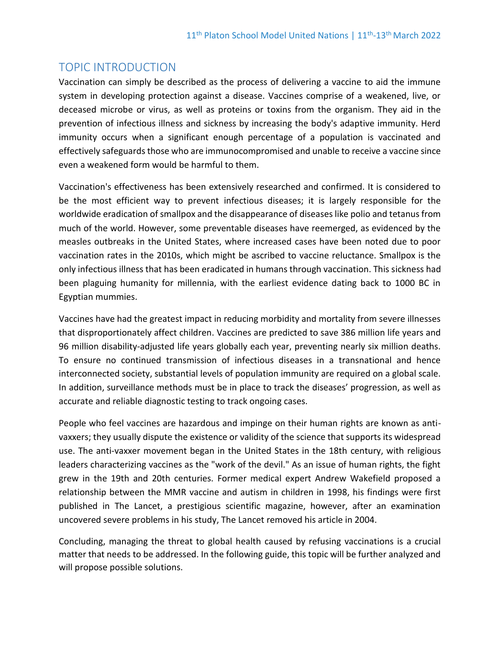## TOPIC INTRODUCTION

Vaccination can simply be described as the process of delivering a vaccine to aid the immune system in developing protection against a disease. Vaccines comprise of a weakened, live, or deceased microbe or virus, as well as proteins or toxins from the organism. They aid in the prevention of infectious illness and sickness by increasing the body's adaptive immunity. Herd immunity occurs when a significant enough percentage of a population is vaccinated and effectively safeguards those who are immunocompromised and unable to receive a vaccine since even a weakened form would be harmful to them.

Vaccination's effectiveness has been extensively researched and confirmed. It is considered to be the most efficient way to prevent infectious diseases; it is largely responsible for the worldwide eradication of smallpox and the disappearance of diseases like polio and tetanus from much of the world. However, some preventable diseases have reemerged, as evidenced by the measles outbreaks in the United States, where increased cases have been noted due to poor vaccination rates in the 2010s, which might be ascribed to vaccine reluctance. Smallpox is the only infectious illness that has been eradicated in humans through vaccination. This sickness had been plaguing humanity for millennia, with the earliest evidence dating back to 1000 BC in Egyptian mummies.

Vaccines have had the greatest impact in reducing morbidity and mortality from severe illnesses that disproportionately affect children. Vaccines are predicted to save 386 million life years and 96 million disability-adjusted life years globally each year, preventing nearly six million deaths. To ensure no continued transmission of infectious diseases in a transnational and hence interconnected society, substantial levels of population immunity are required on a global scale. In addition, surveillance methods must be in place to track the diseases' progression, as well as accurate and reliable diagnostic testing to track ongoing cases.

People who feel vaccines are hazardous and impinge on their human rights are known as antivaxxers; they usually dispute the existence or validity of the science that supports its widespread use. The anti-vaxxer movement began in the United States in the 18th century, with religious leaders characterizing vaccines as the "work of the devil." As an issue of human rights, the fight grew in the 19th and 20th centuries. Former medical expert Andrew Wakefield proposed a relationship between the MMR vaccine and autism in children in 1998, his findings were first published in The Lancet, a prestigious scientific magazine, however, after an examination uncovered severe problems in his study, The Lancet removed his article in 2004.

Concluding, managing the threat to global health caused by refusing vaccinations is a crucial matter that needs to be addressed. In the following guide, this topic will be further analyzed and will propose possible solutions.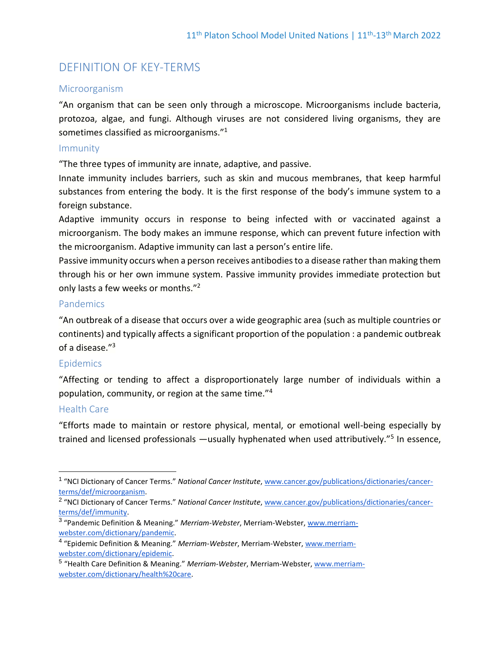# DEFINITION OF KEY-TERMS

#### **Microorganism**

"An organism that can be seen only through a microscope. Microorganisms include bacteria, protozoa, algae, and fungi. Although viruses are not considered living organisms, they are sometimes classified as microorganisms."<sup>1</sup>

#### Immunity

"The three types of immunity are innate, adaptive, and passive.

Innate immunity includes barriers, such as skin and mucous membranes, that keep harmful substances from entering the body. It is the first response of the body's immune system to a foreign substance.

Adaptive immunity occurs in response to being infected with or vaccinated against a microorganism. The body makes an immune response, which can prevent future infection with the microorganism. Adaptive immunity can last a person's entire life.

Passive immunity occurs when a person receives antibodies to a disease rather than making them through his or her own immune system. Passive immunity provides immediate protection but only lasts a few weeks or months."<sup>2</sup>

## **Pandemics**

"An outbreak of a disease that occurs over a wide geographic area (such as multiple countries or continents) and typically affects a significant proportion of the population : a pandemic outbreak of a disease."<sup>3</sup>

## Epidemics

"Affecting or tending to affect a disproportionately large number of individuals within a population, community, or region at the same time."<sup>4</sup>

## Health Care

"Efforts made to maintain or restore physical, mental, or emotional well-being especially by trained and licensed professionals —usually hyphenated when used attributively."<sup>5</sup> In essence,

<sup>&</sup>lt;sup>1</sup> "NCI Dictionary of Cancer Terms." *National Cancer Institute*, [www.cancer.gov/publications/dictionaries/cancer](http://www.cancer.gov/publications/dictionaries/cancer-terms/def/microorganism)[terms/def/microorganism.](http://www.cancer.gov/publications/dictionaries/cancer-terms/def/microorganism)

<sup>2</sup> "NCI Dictionary of Cancer Terms." *National Cancer Institute*, [www.cancer.gov/publications/dictionaries/cancer](http://www.cancer.gov/publications/dictionaries/cancer-terms/def/immunity)[terms/def/immunity.](http://www.cancer.gov/publications/dictionaries/cancer-terms/def/immunity)

<sup>3</sup> "Pandemic Definition & Meaning." *Merriam-Webster*, Merriam-Webster[, www.merriam](http://www.merriam-webster.com/dictionary/pandemic)[webster.com/dictionary/pandemic.](http://www.merriam-webster.com/dictionary/pandemic)

<sup>4</sup> "Epidemic Definition & Meaning." *Merriam-Webster*, Merriam-Webster, [www.merriam](http://www.merriam-webster.com/dictionary/epidemic)[webster.com/dictionary/epidemic.](http://www.merriam-webster.com/dictionary/epidemic)

<sup>5</sup> "Health Care Definition & Meaning." *Merriam-Webster*, Merriam-Webster, [www.merriam](http://www.merriam-webster.com/dictionary/health%20care)[webster.com/dictionary/health%20care.](http://www.merriam-webster.com/dictionary/health%20care)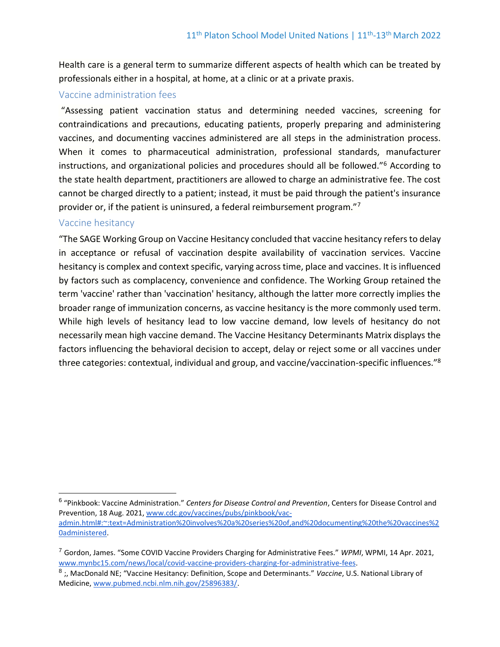Health care is a general term to summarize different aspects of health which can be treated by professionals either in a hospital, at home, at a clinic or at a private praxis.

## Vaccine administration fees

"Assessing patient vaccination status and determining needed vaccines, screening for contraindications and precautions, educating patients, properly preparing and administering vaccines, and documenting vaccines administered are all steps in the administration process. When it comes to pharmaceutical administration, professional standards, manufacturer instructions, and organizational policies and procedures should all be followed."<sup>6</sup> According to the state health department, practitioners are allowed to charge an administrative fee. The cost cannot be charged directly to a patient; instead, it must be paid through the patient's insurance provider or, if the patient is uninsured, a federal reimbursement program."<sup>7</sup>

## Vaccine hesitancy

"The SAGE Working Group on Vaccine Hesitancy concluded that vaccine hesitancy refers to delay in acceptance or refusal of vaccination despite availability of vaccination services. Vaccine hesitancy is complex and context specific, varying across time, place and vaccines. It is influenced by factors such as complacency, convenience and confidence. The Working Group retained the term 'vaccine' rather than 'vaccination' hesitancy, although the latter more correctly implies the broader range of immunization concerns, as vaccine hesitancy is the more commonly used term. While high levels of hesitancy lead to low vaccine demand, low levels of hesitancy do not necessarily mean high vaccine demand. The Vaccine Hesitancy Determinants Matrix displays the factors influencing the behavioral decision to accept, delay or reject some or all vaccines under three categories: contextual, individual and group, and vaccine/vaccination-specific influences."<sup>8</sup>

<sup>6</sup> "Pinkbook: Vaccine Administration." *Centers for Disease Control and Prevention*, Centers for Disease Control and Prevention, 18 Aug. 2021, [www.cdc.gov/vaccines/pubs/pinkbook/vac](http://www.cdc.gov/vaccines/pubs/pinkbook/vac-admin.html#:~:text=Administration%20involves%20a%20series%20of,and%20documenting%20the%20vaccines%20administered)[admin.html#:~:text=Administration%20involves%20a%20series%20of,and%20documenting%20the%20vaccines%2](http://www.cdc.gov/vaccines/pubs/pinkbook/vac-admin.html#:~:text=Administration%20involves%20a%20series%20of,and%20documenting%20the%20vaccines%20administered) [0administered.](http://www.cdc.gov/vaccines/pubs/pinkbook/vac-admin.html#:~:text=Administration%20involves%20a%20series%20of,and%20documenting%20the%20vaccines%20administered)

<sup>7</sup> Gordon, James. "Some COVID Vaccine Providers Charging for Administrative Fees." *WPMI*, WPMI, 14 Apr. 2021, [www.mynbc15.com/news/local/covid-vaccine-providers-charging-for-administrative-fees.](http://www.mynbc15.com/news/local/covid-vaccine-providers-charging-for-administrative-fees)

<sup>8</sup> ;, MacDonald NE; "Vaccine Hesitancy: Definition, Scope and Determinants." *Vaccine*, U.S. National Library of Medicine[, www.pubmed.ncbi.nlm.nih.gov/25896383/.](http://www.pubmed.ncbi.nlm.nih.gov/25896383/)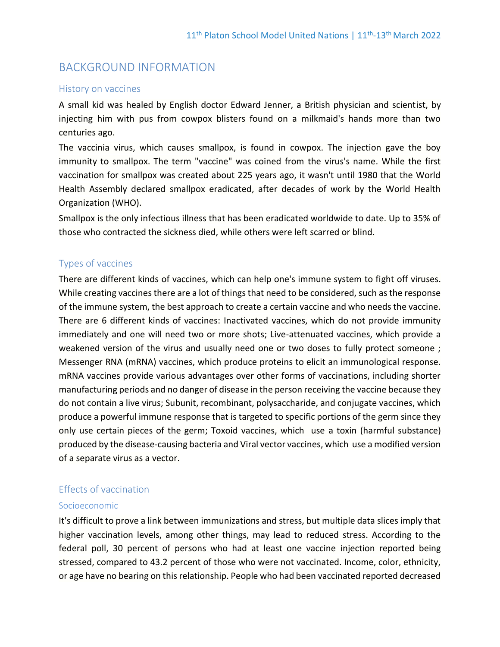## BACKGROUND INFORMATION

#### History on vaccines

A small kid was healed by English doctor Edward Jenner, a British physician and scientist, by injecting him with pus from cowpox blisters found on a milkmaid's hands more than two centuries ago.

The vaccinia virus, which causes smallpox, is found in cowpox. The injection gave the boy immunity to smallpox. The term "vaccine" was coined from the virus's name. While the first vaccination for smallpox was created about 225 years ago, it wasn't until 1980 that the World Health Assembly declared smallpox eradicated, after decades of work by the World Health Organization (WHO).

Smallpox is the only infectious illness that has been eradicated worldwide to date. Up to 35% of those who contracted the sickness died, while others were left scarred or blind.

## Types of vaccines

There are different kinds of vaccines, which can help one's immune system to fight off viruses. While creating vaccines there are a lot of things that need to be considered, such as the response of the immune system, the best approach to create a certain vaccine and who needs the vaccine. There are 6 different kinds of vaccines: Inactivated vaccines, which do not provide immunity immediately and one will need two or more shots; Live-attenuated vaccines, which provide a weakened version of the virus and usually need one or two doses to fully protect someone; Messenger RNA (mRNA) vaccines, which produce proteins to elicit an immunological response. mRNA vaccines provide various advantages over other forms of vaccinations, including shorter manufacturing periods and no danger of disease in the person receiving the vaccine because they do not contain a live virus; Subunit, recombinant, polysaccharide, and conjugate vaccines, which produce a powerful immune response that is targeted to specific portions of the germ since they only use certain pieces of the germ; Toxoid vaccines, which use a toxin (harmful substance) produced by the disease-causing bacteria and Viral vector vaccines, which use a modified version of a separate virus as a vector.

#### Effects of vaccination

#### Socioeconomic

It's difficult to prove a link between immunizations and stress, but multiple data slices imply that higher vaccination levels, among other things, may lead to reduced stress. According to the federal poll, 30 percent of persons who had at least one vaccine injection reported being stressed, compared to 43.2 percent of those who were not vaccinated. Income, color, ethnicity, or age have no bearing on this relationship. People who had been vaccinated reported decreased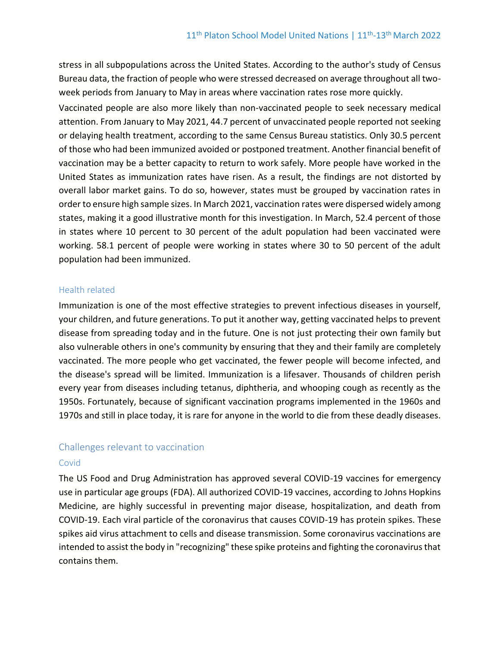stress in all subpopulations across the United States. According to the author's study of Census Bureau data, the fraction of people who were stressed decreased on average throughout all twoweek periods from January to May in areas where vaccination rates rose more quickly.

Vaccinated people are also more likely than non-vaccinated people to seek necessary medical attention. From January to May 2021, 44.7 percent of unvaccinated people reported not seeking or delaying health treatment, according to the same Census Bureau statistics. Only 30.5 percent of those who had been immunized avoided or postponed treatment. Another financial benefit of vaccination may be a better capacity to return to work safely. More people have worked in the United States as immunization rates have risen. As a result, the findings are not distorted by overall labor market gains. To do so, however, states must be grouped by vaccination rates in order to ensure high sample sizes. In March 2021, vaccination rates were dispersed widely among states, making it a good illustrative month for this investigation. In March, 52.4 percent of those in states where 10 percent to 30 percent of the adult population had been vaccinated were working. 58.1 percent of people were working in states where 30 to 50 percent of the adult population had been immunized.

## Health related

Immunization is one of the most effective strategies to prevent infectious diseases in yourself, your children, and future generations. To put it another way, getting vaccinated helps to prevent disease from spreading today and in the future. One is not just protecting their own family but also vulnerable others in one's community by ensuring that they and their family are completely vaccinated. The more people who get vaccinated, the fewer people will become infected, and the disease's spread will be limited. Immunization is a lifesaver. Thousands of children perish every year from diseases including tetanus, diphtheria, and whooping cough as recently as the 1950s. Fortunately, because of significant vaccination programs implemented in the 1960s and 1970s and still in place today, it is rare for anyone in the world to die from these deadly diseases.

## Challenges relevant to vaccination

#### Covid

The US Food and Drug Administration has approved several COVID-19 vaccines for emergency use in particular age groups (FDA). All authorized COVID-19 vaccines, according to Johns Hopkins Medicine, are highly successful in preventing major disease, hospitalization, and death from COVID-19. Each viral particle of the coronavirus that causes COVID-19 has protein spikes. These spikes aid virus attachment to cells and disease transmission. Some coronavirus vaccinations are intended to assist the body in "recognizing" these spike proteins and fighting the coronavirus that contains them.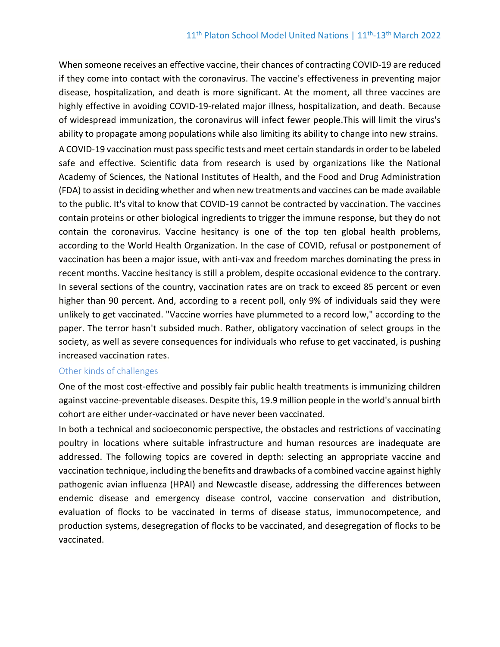When someone receives an effective vaccine, their chances of contracting COVID-19 are reduced if they come into contact with the coronavirus. The vaccine's effectiveness in preventing major disease, hospitalization, and death is more significant. At the moment, all three vaccines are highly effective in avoiding COVID-19-related major illness, hospitalization, and death. Because of widespread immunization, the coronavirus will infect fewer people.This will limit the virus's ability to propagate among populations while also limiting its ability to change into new strains. A COVID-19 vaccination must pass specific tests and meet certain standards in order to be labeled safe and effective. Scientific data from research is used by organizations like the National Academy of Sciences, the National Institutes of Health, and the Food and Drug Administration (FDA) to assist in deciding whether and when new treatments and vaccines can be made available to the public. It's vital to know that COVID-19 cannot be contracted by vaccination. The vaccines contain proteins or other biological ingredients to trigger the immune response, but they do not contain the coronavirus. Vaccine hesitancy is one of the top ten global health problems, according to the World Health Organization. In the case of COVID, refusal or postponement of vaccination has been a major issue, with anti-vax and freedom marches dominating the press in recent months. Vaccine hesitancy is still a problem, despite occasional evidence to the contrary. In several sections of the country, vaccination rates are on track to exceed 85 percent or even higher than 90 percent. And, according to a recent poll, only 9% of individuals said they were unlikely to get vaccinated. "Vaccine worries have plummeted to a record low," according to the paper. The terror hasn't subsided much. Rather, obligatory vaccination of select groups in the society, as well as severe consequences for individuals who refuse to get vaccinated, is pushing increased vaccination rates.

#### Other kinds of challenges

One of the most cost-effective and possibly fair public health treatments is immunizing children against vaccine-preventable diseases. Despite this, 19.9 million people in the world's annual birth cohort are either under-vaccinated or have never been vaccinated.

In both a technical and socioeconomic perspective, the obstacles and restrictions of vaccinating poultry in locations where suitable infrastructure and human resources are inadequate are addressed. The following topics are covered in depth: selecting an appropriate vaccine and vaccination technique, including the benefits and drawbacks of a combined vaccine against highly pathogenic avian influenza (HPAI) and Newcastle disease, addressing the differences between endemic disease and emergency disease control, vaccine conservation and distribution, evaluation of flocks to be vaccinated in terms of disease status, immunocompetence, and production systems, desegregation of flocks to be vaccinated, and desegregation of flocks to be vaccinated.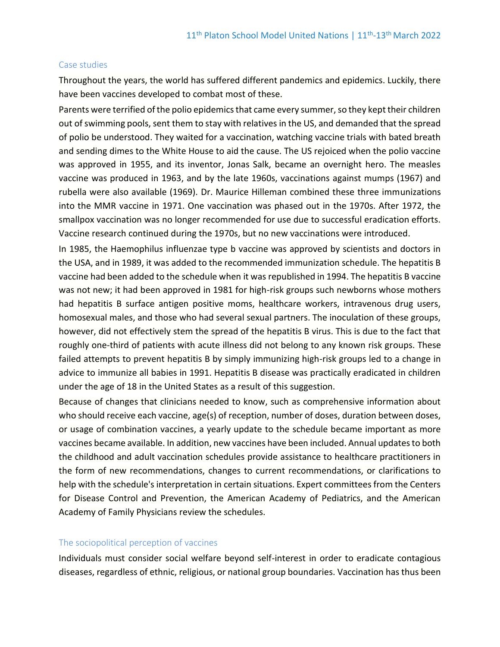#### Case studies

Throughout the years, the world has suffered different pandemics and epidemics. Luckily, there have been vaccines developed to combat most of these.

Parents were terrified of the polio epidemics that came every summer, so they kept their children out of swimming pools, sent them to stay with relatives in the US, and demanded that the spread of polio be understood. They waited for a vaccination, watching vaccine trials with bated breath and sending dimes to the White House to aid the cause. The US rejoiced when the polio vaccine was approved in 1955, and its inventor, Jonas Salk, became an overnight hero. The measles vaccine was produced in 1963, and by the late 1960s, vaccinations against mumps (1967) and rubella were also available (1969). Dr. Maurice Hilleman combined these three immunizations into the MMR vaccine in 1971. One vaccination was phased out in the 1970s. After 1972, the smallpox vaccination was no longer recommended for use due to successful eradication efforts. Vaccine research continued during the 1970s, but no new vaccinations were introduced.

In 1985, the Haemophilus influenzae type b vaccine was approved by scientists and doctors in the USA, and in 1989, it was added to the recommended immunization schedule. The hepatitis B vaccine had been added to the schedule when it was republished in 1994. The hepatitis B vaccine was not new; it had been approved in 1981 for high-risk groups such newborns whose mothers had hepatitis B surface antigen positive moms, healthcare workers, intravenous drug users, homosexual males, and those who had several sexual partners. The inoculation of these groups, however, did not effectively stem the spread of the hepatitis B virus. This is due to the fact that roughly one-third of patients with acute illness did not belong to any known risk groups. These failed attempts to prevent hepatitis B by simply immunizing high-risk groups led to a change in advice to immunize all babies in 1991. Hepatitis B disease was practically eradicated in children under the age of 18 in the United States as a result of this suggestion.

Because of changes that clinicians needed to know, such as comprehensive information about who should receive each vaccine, age(s) of reception, number of doses, duration between doses, or usage of combination vaccines, a yearly update to the schedule became important as more vaccines became available. In addition, new vaccines have been included. Annual updates to both the childhood and adult vaccination schedules provide assistance to healthcare practitioners in the form of new recommendations, changes to current recommendations, or clarifications to help with the schedule's interpretation in certain situations. Expert committees from the Centers for Disease Control and Prevention, the American Academy of Pediatrics, and the American Academy of Family Physicians review the schedules.

#### The sociopolitical perception of vaccines

Individuals must consider social welfare beyond self-interest in order to eradicate contagious diseases, regardless of ethnic, religious, or national group boundaries. Vaccination has thus been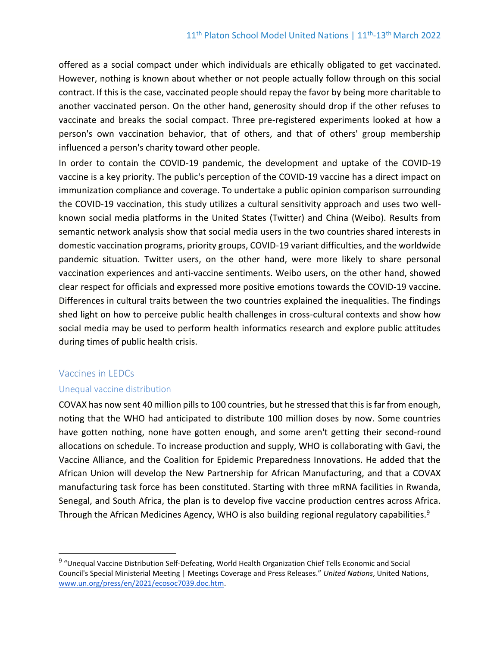offered as a social compact under which individuals are ethically obligated to get vaccinated. However, nothing is known about whether or not people actually follow through on this social contract. If this is the case, vaccinated people should repay the favor by being more charitable to another vaccinated person. On the other hand, generosity should drop if the other refuses to vaccinate and breaks the social compact. Three pre-registered experiments looked at how a person's own vaccination behavior, that of others, and that of others' group membership influenced a person's charity toward other people.

In order to contain the COVID-19 pandemic, the development and uptake of the COVID-19 vaccine is a key priority. The public's perception of the COVID-19 vaccine has a direct impact on immunization compliance and coverage. To undertake a public opinion comparison surrounding the COVID-19 vaccination, this study utilizes a cultural sensitivity approach and uses two wellknown social media platforms in the United States (Twitter) and China (Weibo). Results from semantic network analysis show that social media users in the two countries shared interests in domestic vaccination programs, priority groups, COVID-19 variant difficulties, and the worldwide pandemic situation. Twitter users, on the other hand, were more likely to share personal vaccination experiences and anti-vaccine sentiments. Weibo users, on the other hand, showed clear respect for officials and expressed more positive emotions towards the COVID-19 vaccine. Differences in cultural traits between the two countries explained the inequalities. The findings shed light on how to perceive public health challenges in cross-cultural contexts and show how social media may be used to perform health informatics research and explore public attitudes during times of public health crisis.

## Vaccines in LEDCs

#### Unequal vaccine distribution

COVAX has now sent 40 million pills to 100 countries, but he stressed that this is far from enough, noting that the WHO had anticipated to distribute 100 million doses by now. Some countries have gotten nothing, none have gotten enough, and some aren't getting their second-round allocations on schedule. To increase production and supply, WHO is collaborating with Gavi, the Vaccine Alliance, and the Coalition for Epidemic Preparedness Innovations. He added that the African Union will develop the New Partnership for African Manufacturing, and that a COVAX manufacturing task force has been constituted. Starting with three mRNA facilities in Rwanda, Senegal, and South Africa, the plan is to develop five vaccine production centres across Africa. Through the African Medicines Agency, WHO is also building regional regulatory capabilities.<sup>9</sup>

<sup>&</sup>lt;sup>9</sup> "Unequal Vaccine Distribution Self-Defeating, World Health Organization Chief Tells Economic and Social Council's Special Ministerial Meeting | Meetings Coverage and Press Releases." *United Nations*, United Nations, [www.un.org/press/en/2021/ecosoc7039.doc.htm.](http://www.un.org/press/en/2021/ecosoc7039.doc.htm)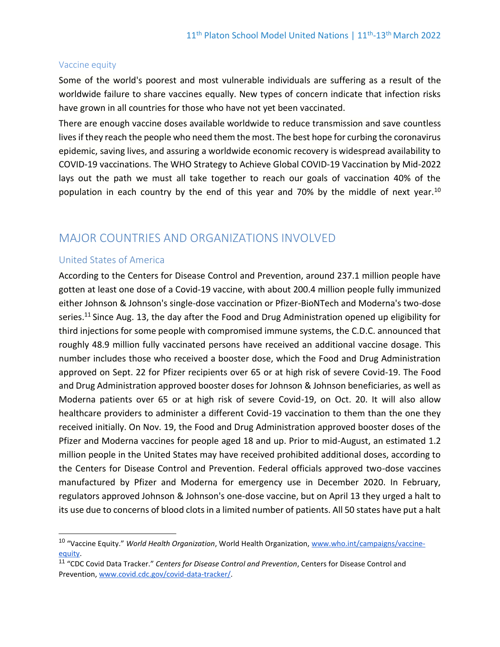#### Vaccine equity

Some of the world's poorest and most vulnerable individuals are suffering as a result of the worldwide failure to share vaccines equally. New types of concern indicate that infection risks have grown in all countries for those who have not yet been vaccinated.

There are enough vaccine doses available worldwide to reduce transmission and save countless lives if they reach the people who need them the most. The best hope for curbing the coronavirus epidemic, saving lives, and assuring a worldwide economic recovery is widespread availability to COVID-19 vaccinations. The WHO Strategy to Achieve Global COVID-19 Vaccination by Mid-2022 lays out the path we must all take together to reach our goals of vaccination 40% of the population in each country by the end of this year and 70% by the middle of next year.<sup>10</sup>

## MAJOR COUNTRIES AND ORGANIZATIONS INVOLVED

#### United States of America

According to the Centers for Disease Control and Prevention, around 237.1 million people have gotten at least one dose of a Covid-19 vaccine, with about 200.4 million people fully immunized either Johnson & Johnson's single-dose vaccination or Pfizer-BioNTech and Moderna's two-dose series.<sup>11</sup> Since Aug. 13, the day after the Food and Drug Administration opened up eligibility for third injections for some people with compromised immune systems, the C.D.C. announced that roughly 48.9 million fully vaccinated persons have received an additional vaccine dosage. This number includes those who received a booster dose, which the Food and Drug Administration approved on Sept. 22 for Pfizer recipients over 65 or at high risk of severe Covid-19. The Food and Drug Administration approved booster doses for Johnson & Johnson beneficiaries, as well as Moderna patients over 65 or at high risk of severe Covid-19, on Oct. 20. It will also allow healthcare providers to administer a different Covid-19 vaccination to them than the one they received initially. On Nov. 19, the Food and Drug Administration approved booster doses of the Pfizer and Moderna vaccines for people aged 18 and up. Prior to mid-August, an estimated 1.2 million people in the United States may have received prohibited additional doses, according to the Centers for Disease Control and Prevention. Federal officials approved two-dose vaccines manufactured by Pfizer and Moderna for emergency use in December 2020. In February, regulators approved Johnson & Johnson's one-dose vaccine, but on April 13 they urged a halt to its use due to concerns of blood clots in a limited number of patients. All 50 states have put a halt

<sup>10</sup> "Vaccine Equity." *World Health Organization*, World Health Organization[, www.who.int/campaigns/vaccine](http://www.who.int/campaigns/vaccine-equity)[equity.](http://www.who.int/campaigns/vaccine-equity)

<sup>11</sup> "CDC Covid Data Tracker." *Centers for Disease Control and Prevention*, Centers for Disease Control and Prevention, [www.covid.cdc.gov/covid-data-tracker/.](http://www.covid.cdc.gov/covid-data-tracker/)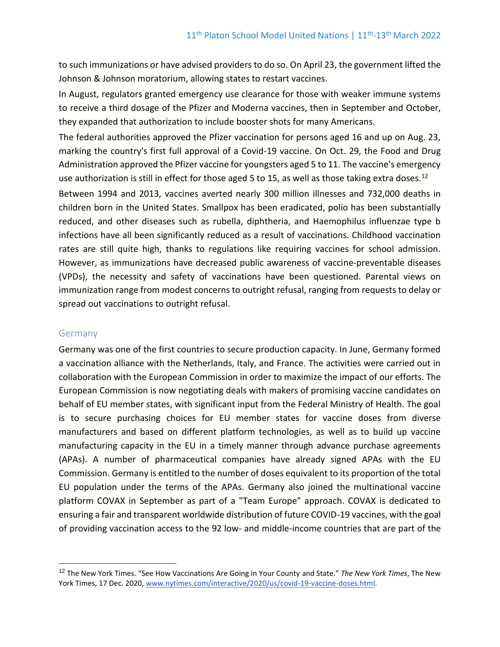to such immunizations or have advised providers to do so. On April 23, the government lifted the Johnson & Johnson moratorium, allowing states to restart vaccines.

In August, regulators granted emergency use clearance for those with weaker immune systems to receive a third dosage of the Pfizer and Moderna vaccines, then in September and October, they expanded that authorization to include booster shots for many Americans.

The federal authorities approved the Pfizer vaccination for persons aged 16 and up on Aug. 23, marking the country's first full approval of a Covid-19 vaccine. On Oct. 29, the Food and Drug Administration approved the Pfizer vaccine for youngsters aged 5 to 11. The vaccine's emergency use authorization is still in effect for those aged 5 to 15, as well as those taking extra doses.<sup>12</sup>

Between 1994 and 2013, vaccines averted nearly 300 million illnesses and 732,000 deaths in children born in the United States. Smallpox has been eradicated, polio has been substantially reduced, and other diseases such as rubella, diphtheria, and Haemophilus influenzae type b infections have all been significantly reduced as a result of vaccinations. Childhood vaccination rates are still quite high, thanks to regulations like requiring vaccines for school admission. However, as immunizations have decreased public awareness of vaccine-preventable diseases (VPDs), the necessity and safety of vaccinations have been questioned. Parental views on immunization range from modest concerns to outright refusal, ranging from requests to delay or spread out vaccinations to outright refusal.

#### **Germany**

Germany was one of the first countries to secure production capacity. In June, Germany formed a vaccination alliance with the Netherlands, Italy, and France. The activities were carried out in collaboration with the European Commission in order to maximize the impact of our efforts. The European Commission is now negotiating deals with makers of promising vaccine candidates on behalf of EU member states, with significant input from the Federal Ministry of Health. The goal is to secure purchasing choices for EU member states for vaccine doses from diverse manufacturers and based on different platform technologies, as well as to build up vaccine manufacturing capacity in the EU in a timely manner through advance purchase agreements (APAs). A number of pharmaceutical companies have already signed APAs with the EU Commission. Germany is entitled to the number of doses equivalent to its proportion of the total EU population under the terms of the APAs. Germany also joined the multinational vaccine platform COVAX in September as part of a "Team Europe" approach. COVAX is dedicated to ensuring a fair and transparent worldwide distribution of future COVID-19 vaccines, with the goal of providing vaccination access to the 92 low- and middle-income countries that are part of the

<sup>12</sup> The New York Times. "See How Vaccinations Are Going in Your County and State." *The New York Times*, The New York Times, 17 Dec. 2020, [www.nytimes.com/interactive/2020/us/covid-19-vaccine-doses.html.](http://www.nytimes.com/interactive/2020/us/covid-19-vaccine-doses.html)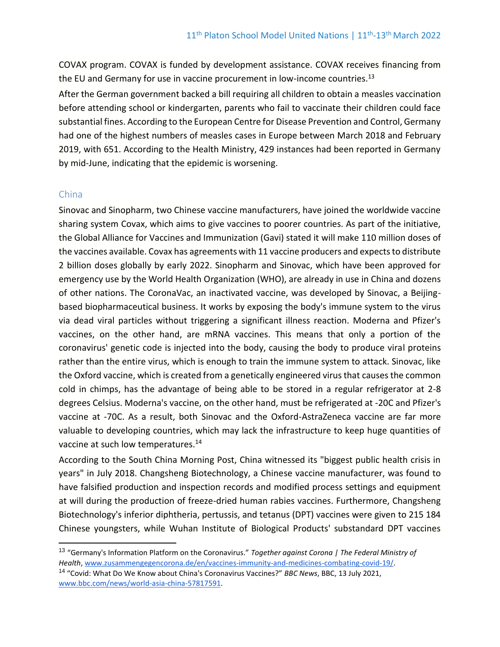COVAX program. COVAX is funded by development assistance. COVAX receives financing from the EU and Germany for use in vaccine procurement in low-income countries.<sup>13</sup>

After the German government backed a bill requiring all children to obtain a measles vaccination before attending school or kindergarten, parents who fail to vaccinate their children could face substantial fines. According to the European Centre for Disease Prevention and Control, Germany had one of the highest numbers of measles cases in Europe between March 2018 and February 2019, with 651. According to the Health Ministry, 429 instances had been reported in Germany by mid-June, indicating that the epidemic is worsening.

#### China

Sinovac and Sinopharm, two Chinese vaccine manufacturers, have joined the worldwide vaccine sharing system Covax, which aims to give vaccines to poorer countries. As part of the initiative, the Global Alliance for Vaccines and Immunization (Gavi) stated it will make 110 million doses of the vaccines available. Covax has agreements with 11 vaccine producers and expects to distribute 2 billion doses globally by early 2022. Sinopharm and Sinovac, which have been approved for emergency use by the World Health Organization (WHO), are already in use in China and dozens of other nations. The CoronaVac, an inactivated vaccine, was developed by Sinovac, a Beijingbased biopharmaceutical business. It works by exposing the body's immune system to the virus via dead viral particles without triggering a significant illness reaction. Moderna and Pfizer's vaccines, on the other hand, are mRNA vaccines. This means that only a portion of the coronavirus' genetic code is injected into the body, causing the body to produce viral proteins rather than the entire virus, which is enough to train the immune system to attack. Sinovac, like the Oxford vaccine, which is created from a genetically engineered virus that causes the common cold in chimps, has the advantage of being able to be stored in a regular refrigerator at 2-8 degrees Celsius. Moderna's vaccine, on the other hand, must be refrigerated at -20C and Pfizer's vaccine at -70C. As a result, both Sinovac and the Oxford-AstraZeneca vaccine are far more valuable to developing countries, which may lack the infrastructure to keep huge quantities of vaccine at such low temperatures.<sup>14</sup>

According to the South China Morning Post, China witnessed its "biggest public health crisis in years" in July 2018. Changsheng Biotechnology, a Chinese vaccine manufacturer, was found to have falsified production and inspection records and modified process settings and equipment at will during the production of freeze-dried human rabies vaccines. Furthermore, Changsheng Biotechnology's inferior diphtheria, pertussis, and tetanus (DPT) vaccines were given to 215 184 Chinese youngsters, while Wuhan Institute of Biological Products' substandard DPT vaccines

<sup>13</sup> "Germany's Information Platform on the Coronavirus." *Together against Corona | The Federal Ministry of Health*[, www.zusammengegencorona.de/en/vaccines-immunity-and-medicines-combating-covid-19/.](http://www.zusammengegencorona.de/en/vaccines-immunity-and-medicines-combating-covid-19/)

<sup>14</sup> "Covid: What Do We Know about China's Coronavirus Vaccines?" *BBC News*, BBC, 13 July 2021, [www.bbc.com/news/world-asia-china-57817591.](http://www.bbc.com/news/world-asia-china-57817591)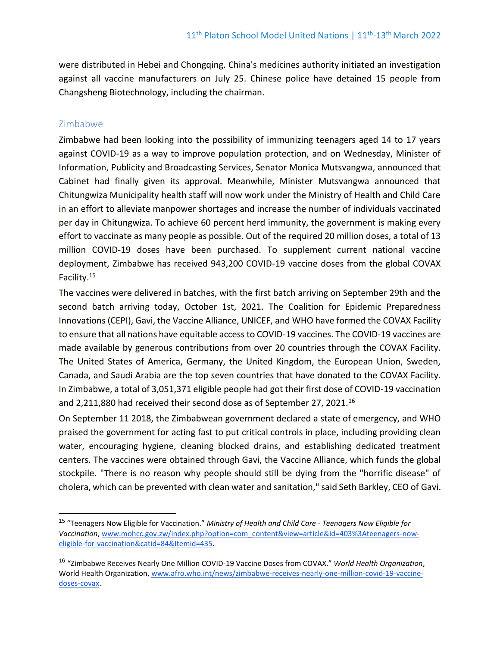were distributed in Hebei and Chongqing. China's medicines authority initiated an investigation against all vaccine manufacturers on July 25. Chinese police have detained 15 people from Changsheng Biotechnology, including the chairman.

## Zimbabwe

Zimbabwe had been looking into the possibility of immunizing teenagers aged 14 to 17 years against COVID-19 as a way to improve population protection, and on Wednesday, Minister of Information, Publicity and Broadcasting Services, Senator Monica Mutsvangwa, announced that Cabinet had finally given its approval. Meanwhile, Minister Mutsvangwa announced that Chitungwiza Municipality health staff will now work under the Ministry of Health and Child Care in an effort to alleviate manpower shortages and increase the number of individuals vaccinated per day in Chitungwiza. To achieve 60 percent herd immunity, the government is making every effort to vaccinate as many people as possible. Out of the required 20 million doses, a total of 13 million COVID-19 doses have been purchased. To supplement current national vaccine deployment, Zimbabwe has received 943,200 COVID-19 vaccine doses from the global COVAX Facility.<sup>15</sup>

The vaccines were delivered in batches, with the first batch arriving on September 29th and the second batch arriving today, October 1st, 2021. The Coalition for Epidemic Preparedness Innovations (CEPI), Gavi, the Vaccine Alliance, UNICEF, and WHO have formed the COVAX Facility to ensure that all nations have equitable access to COVID-19 vaccines. The COVID-19 vaccines are made available by generous contributions from over 20 countries through the COVAX Facility. The United States of America, Germany, the United Kingdom, the European Union, Sweden, Canada, and Saudi Arabia are the top seven countries that have donated to the COVAX Facility. In Zimbabwe, a total of 3,051,371 eligible people had got their first dose of COVID-19 vaccination and 2,211,880 had received their second dose as of September 27, 2021.<sup>16</sup>

On September 11 2018, the Zimbabwean government declared a state of emergency, and WHO praised the government for acting fast to put critical controls in place, including providing clean water, encouraging hygiene, cleaning blocked drains, and establishing dedicated treatment centers. The vaccines were obtained through Gavi, the Vaccine Alliance, which funds the global stockpile. "There is no reason why people should still be dying from the "horrific disease" of cholera, which can be prevented with clean water and sanitation," said Seth Barkley, CEO of Gavi.

<sup>15</sup> "Teenagers Now Eligible for Vaccination." *Ministry of Health and Child Care - Teenagers Now Eligible for Vaccination*[, www.mohcc.gov.zw/index.php?option=com\\_content&view=article&id=403%3Ateenagers-now](http://www.mohcc.gov.zw/index.php?option=com_content&view=article&id=403%3Ateenagers-now-eligible-for-vaccination&catid=84&Itemid=435)[eligible-for-vaccination&catid=84&Itemid=435.](http://www.mohcc.gov.zw/index.php?option=com_content&view=article&id=403%3Ateenagers-now-eligible-for-vaccination&catid=84&Itemid=435) 

<sup>16</sup> "Zimbabwe Receives Nearly One Million COVID-19 Vaccine Doses from COVAX." *World Health Organization*, World Health Organization[, www.afro.who.int/news/zimbabwe-receives-nearly-one-million-covid-19-vaccine](http://www.afro.who.int/news/zimbabwe-receives-nearly-one-million-covid-19-vaccine-doses-covax)[doses-covax.](http://www.afro.who.int/news/zimbabwe-receives-nearly-one-million-covid-19-vaccine-doses-covax)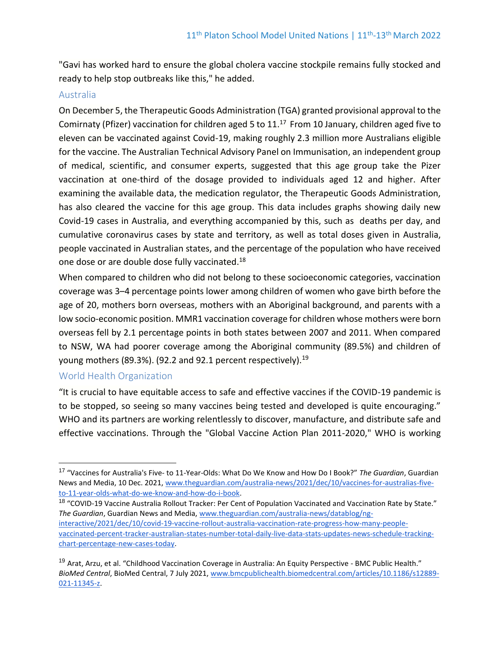"Gavi has worked hard to ensure the global cholera vaccine stockpile remains fully stocked and ready to help stop outbreaks like this," he added.

#### Australia

On December 5, the Therapeutic Goods Administration (TGA) granted provisional approval to the Comirnaty (Pfizer) vaccination for children aged 5 to 11.<sup>17</sup> From 10 January, children aged five to eleven can be vaccinated against Covid-19, making roughly 2.3 million more Australians eligible for the vaccine. The Australian Technical Advisory Panel on Immunisation, an independent group of medical, scientific, and consumer experts, suggested that this age group take the Pizer vaccination at one-third of the dosage provided to individuals aged 12 and higher. After examining the available data, the medication regulator, the Therapeutic Goods Administration, has also cleared the vaccine for this age group. This data includes graphs showing daily new Covid-19 cases in Australia, and everything accompanied by this, such as deaths per day, and cumulative coronavirus cases by state and territory, as well as total doses given in Australia, people vaccinated in Australian states, and the percentage of the population who have received one dose or are double dose fully vaccinated.<sup>18</sup>

When compared to children who did not belong to these socioeconomic categories, vaccination coverage was 3–4 percentage points lower among children of women who gave birth before the age of 20, mothers born overseas, mothers with an Aboriginal background, and parents with a low socio-economic position. MMR1 vaccination coverage for children whose mothers were born overseas fell by 2.1 percentage points in both states between 2007 and 2011. When compared to NSW, WA had poorer coverage among the Aboriginal community (89.5%) and children of young mothers (89.3%). (92.2 and 92.1 percent respectively).<sup>19</sup>

#### World Health Organization

"It is crucial to have equitable access to safe and effective vaccines if the COVID-19 pandemic is to be stopped, so seeing so many vaccines being tested and developed is quite encouraging." WHO and its partners are working relentlessly to discover, manufacture, and distribute safe and effective vaccinations. Through the "Global Vaccine Action Plan 2011-2020," WHO is working

<sup>18</sup> "COVID-19 Vaccine Australia Rollout Tracker: Per Cent of Population Vaccinated and Vaccination Rate by State." *The Guardian*, Guardian News and Media, [www.theguardian.com/australia-news/datablog/ng](http://www.theguardian.com/australia-news/datablog/ng-interactive/2021/dec/10/covid-19-vaccine-rollout-australia-vaccination-rate-progress-how-many-people-vaccinated-percent-tracker-australian-states-number-total-daily-live-data-stats-updates-news-schedule-tracking-chart-percentage-new-cases-today)[interactive/2021/dec/10/covid-19-vaccine-rollout-australia-vaccination-rate-progress-how-many-people](http://www.theguardian.com/australia-news/datablog/ng-interactive/2021/dec/10/covid-19-vaccine-rollout-australia-vaccination-rate-progress-how-many-people-vaccinated-percent-tracker-australian-states-number-total-daily-live-data-stats-updates-news-schedule-tracking-chart-percentage-new-cases-today)[vaccinated-percent-tracker-australian-states-number-total-daily-live-data-stats-updates-news-schedule-tracking](http://www.theguardian.com/australia-news/datablog/ng-interactive/2021/dec/10/covid-19-vaccine-rollout-australia-vaccination-rate-progress-how-many-people-vaccinated-percent-tracker-australian-states-number-total-daily-live-data-stats-updates-news-schedule-tracking-chart-percentage-new-cases-today)[chart-percentage-new-cases-today.](http://www.theguardian.com/australia-news/datablog/ng-interactive/2021/dec/10/covid-19-vaccine-rollout-australia-vaccination-rate-progress-how-many-people-vaccinated-percent-tracker-australian-states-number-total-daily-live-data-stats-updates-news-schedule-tracking-chart-percentage-new-cases-today)

<sup>19</sup> Arat, Arzu, et al. "Childhood Vaccination Coverage in Australia: An Equity Perspective - BMC Public Health." *BioMed Central*, BioMed Central, 7 July 2021, [www.bmcpublichealth.biomedcentral.com/articles/10.1186/s12889-](http://www.bmcpublichealth.biomedcentral.com/articles/10.1186/s12889-021-11345-z) [021-11345-z.](http://www.bmcpublichealth.biomedcentral.com/articles/10.1186/s12889-021-11345-z)

<sup>17</sup> "Vaccines for Australia's Five- to 11-Year-Olds: What Do We Know and How Do I Book?" *The Guardian*, Guardian News and Media, 10 Dec. 2021[, www.theguardian.com/australia-news/2021/dec/10/vaccines-for-australias-five](http://www.theguardian.com/australia-news/2021/dec/10/vaccines-for-australias-five-to-11-year-olds-what-do-we-know-and-how-do-i-book)[to-11-year-olds-what-do-we-know-and-how-do-i-book.](http://www.theguardian.com/australia-news/2021/dec/10/vaccines-for-australias-five-to-11-year-olds-what-do-we-know-and-how-do-i-book)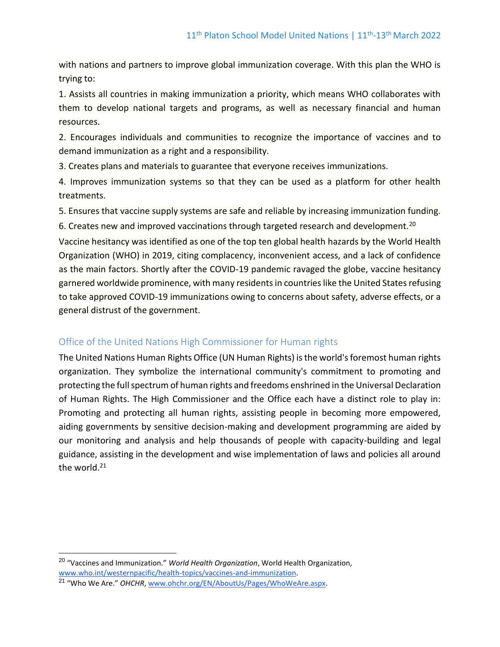with nations and partners to improve global immunization coverage. With this plan the WHO is trying to:

1. Assists all countries in making immunization a priority, which means WHO collaborates with them to develop national targets and programs, as well as necessary financial and human resources.

2. Encourages individuals and communities to recognize the importance of vaccines and to demand immunization as a right and a responsibility.

3. Creates plans and materials to guarantee that everyone receives immunizations.

4. Improves immunization systems so that they can be used as a platform for other health treatments.

5. Ensures that vaccine supply systems are safe and reliable by increasing immunization funding.

6. Creates new and improved vaccinations through targeted research and development.<sup>20</sup>

Vaccine hesitancy was identified as one of the top ten global health hazards by the World Health Organization (WHO) in 2019, citing complacency, inconvenient access, and a lack of confidence as the main factors. Shortly after the COVID-19 pandemic ravaged the globe, vaccine hesitancy garnered worldwide prominence, with many residents in countries like the United States refusing to take approved COVID-19 immunizations owing to concerns about safety, adverse effects, or a general distrust of the government.

## Office of the United Nations High Commissioner for Human rights

The United Nations Human Rights Office (UN Human Rights) is the world's foremost human rights organization. They symbolize the international community's commitment to promoting and protecting the full spectrum of human rights and freedoms enshrined in the Universal Declaration of Human Rights. The High Commissioner and the Office each have a distinct role to play in: Promoting and protecting all human rights, assisting people in becoming more empowered, aiding governments by sensitive decision-making and development programming are aided by our monitoring and analysis and help thousands of people with capacity-building and legal guidance, assisting in the development and wise implementation of laws and policies all around the world.<sup>21</sup>

<sup>20</sup> "Vaccines and Immunization." *World Health Organization*, World Health Organization, [www.who.int/westernpacific/health-topics/vaccines-and-immunization.](http://www.who.int/westernpacific/health-topics/vaccines-and-immunization)

<sup>21</sup> "Who We Are." *OHCHR*[, www.ohchr.org/EN/AboutUs/Pages/WhoWeAre.aspx.](http://www.ohchr.org/EN/AboutUs/Pages/WhoWeAre.aspx)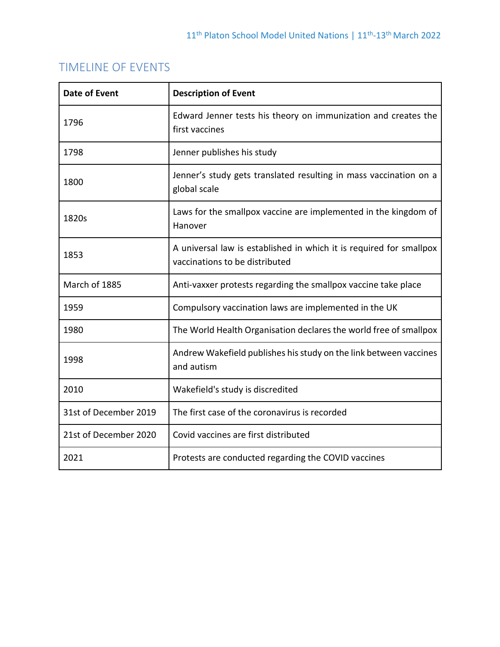# TIMELINE OF EVENTS

| <b>Date of Event</b>  | <b>Description of Event</b>                                                                           |
|-----------------------|-------------------------------------------------------------------------------------------------------|
| 1796                  | Edward Jenner tests his theory on immunization and creates the<br>first vaccines                      |
| 1798                  | Jenner publishes his study                                                                            |
| 1800                  | Jenner's study gets translated resulting in mass vaccination on a<br>global scale                     |
| 1820s                 | Laws for the smallpox vaccine are implemented in the kingdom of<br>Hanover                            |
| 1853                  | A universal law is established in which it is required for smallpox<br>vaccinations to be distributed |
| March of 1885         | Anti-vaxxer protests regarding the smallpox vaccine take place                                        |
| 1959                  | Compulsory vaccination laws are implemented in the UK                                                 |
| 1980                  | The World Health Organisation declares the world free of smallpox                                     |
| 1998                  | Andrew Wakefield publishes his study on the link between vaccines<br>and autism                       |
| 2010                  | Wakefield's study is discredited                                                                      |
| 31st of December 2019 | The first case of the coronavirus is recorded                                                         |
| 21st of December 2020 | Covid vaccines are first distributed                                                                  |
| 2021                  | Protests are conducted regarding the COVID vaccines                                                   |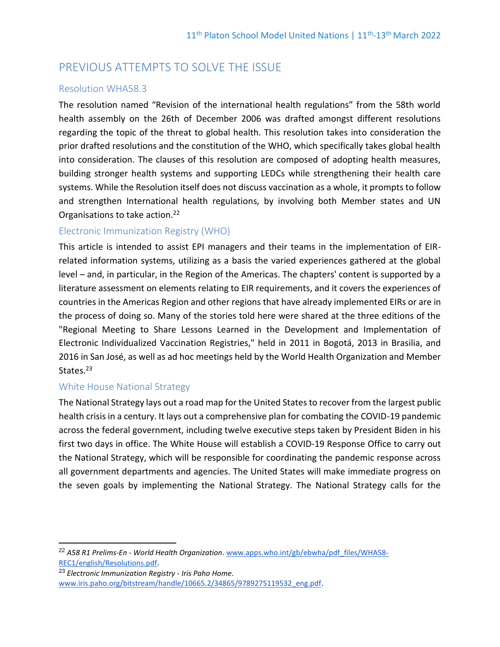# PREVIOUS ATTEMPTS TO SOLVE THE ISSUE

## Resolution WHA58.3

The resolution named "Revision of the international health regulations" from the 58th world health assembly on the 26th of December 2006 was drafted amongst different resolutions regarding the topic of the threat to global health. This resolution takes into consideration the prior drafted resolutions and the constitution of the WHO, which specifically takes global health into consideration. The clauses of this resolution are composed of adopting health measures, building stronger health systems and supporting LEDCs while strengthening their health care systems. While the Resolution itself does not discuss vaccination as a whole, it prompts to follow and strengthen International health regulations, by involving both Member states and UN Organisations to take action.<sup>22</sup>

## Electronic Immunization Registry (WHO)

This article is intended to assist EPI managers and their teams in the implementation of EIRrelated information systems, utilizing as a basis the varied experiences gathered at the global level – and, in particular, in the Region of the Americas. The chapters' content is supported by a literature assessment on elements relating to EIR requirements, and it covers the experiences of countries in the Americas Region and other regions that have already implemented EIRs or are in the process of doing so. Many of the stories told here were shared at the three editions of the "Regional Meeting to Share Lessons Learned in the Development and Implementation of Electronic Individualized Vaccination Registries," held in 2011 in Bogotá, 2013 in Brasilia, and 2016 in San José, as well as ad hoc meetings held by the World Health Organization and Member States.<sup>23</sup>

## White House National Strategy

The National Strategy lays out a road map for the United States to recover from the largest public health crisis in a century. It lays out a comprehensive plan for combating the COVID-19 pandemic across the federal government, including twelve executive steps taken by President Biden in his first two days in office. The White House will establish a COVID-19 Response Office to carry out the National Strategy, which will be responsible for coordinating the pandemic response across all government departments and agencies. The United States will make immediate progress on the seven goals by implementing the National Strategy. The National Strategy calls for the

<sup>22</sup> *A58 R1 Prelims-En - World Health Organization*. [www.apps.who.int/gb/ebwha/pdf\\_files/WHA58-](http://www.apps.who.int/gb/ebwha/pdf_files/WHA58-REC1/english/Resolutions.pdf) [REC1/english/Resolutions.pdf.](http://www.apps.who.int/gb/ebwha/pdf_files/WHA58-REC1/english/Resolutions.pdf)

<sup>23</sup> *Electronic Immunization Registry - Iris Paho Home*. [www.iris.paho.org/bitstream/handle/10665.2/34865/9789275119532\\_eng.pdf.](http://www.iris.paho.org/bitstream/handle/10665.2/34865/9789275119532_eng.pdf)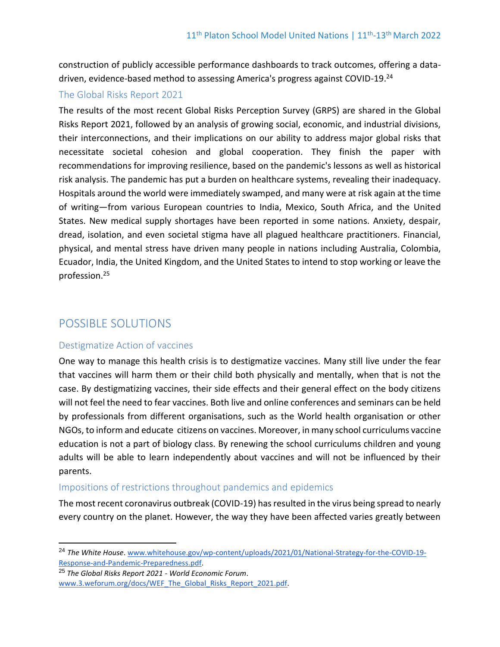construction of publicly accessible performance dashboards to track outcomes, offering a datadriven, evidence-based method to assessing America's progress against COVID-19.<sup>24</sup>

## The Global Risks Report 2021

The results of the most recent Global Risks Perception Survey (GRPS) are shared in the Global Risks Report 2021, followed by an analysis of growing social, economic, and industrial divisions, their interconnections, and their implications on our ability to address major global risks that necessitate societal cohesion and global cooperation. They finish the paper with recommendations for improving resilience, based on the pandemic's lessons as well as historical risk analysis. The pandemic has put a burden on healthcare systems, revealing their inadequacy. Hospitals around the world were immediately swamped, and many were at risk again at the time of writing—from various European countries to India, Mexico, South Africa, and the United States. New medical supply shortages have been reported in some nations. Anxiety, despair, dread, isolation, and even societal stigma have all plagued healthcare practitioners. Financial, physical, and mental stress have driven many people in nations including Australia, Colombia, Ecuador, India, the United Kingdom, and the United States to intend to stop working or leave the profession.<sup>25</sup>

# POSSIBLE SOLUTIONS

## Destigmatize Action of vaccines

One way to manage this health crisis is to destigmatize vaccines. Many still live under the fear that vaccines will harm them or their child both physically and mentally, when that is not the case. By destigmatizing vaccines, their side effects and their general effect on the body citizens will not feel the need to fear vaccines. Both live and online conferences and seminars can be held by professionals from different organisations, such as the World health organisation or other NGOs, to inform and educate citizens on vaccines. Moreover, in many school curriculums vaccine education is not a part of biology class. By renewing the school curriculums children and young adults will be able to learn independently about vaccines and will not be influenced by their parents.

## Impositions of restrictions throughout pandemics and epidemics

The most recent coronavirus outbreak (COVID-19) has resulted in the virus being spread to nearly every country on the planet. However, the way they have been affected varies greatly between

<sup>24</sup> *The White House*. [www.whitehouse.gov/wp-content/uploads/2021/01/National-Strategy-for-the-COVID-19-](http://www.whitehouse.gov/wp-content/uploads/2021/01/National-Strategy-for-the-COVID-19-Response-and-Pandemic-Preparedness.pdf) [Response-and-Pandemic-Preparedness.pdf.](http://www.whitehouse.gov/wp-content/uploads/2021/01/National-Strategy-for-the-COVID-19-Response-and-Pandemic-Preparedness.pdf)

<sup>25</sup> *The Global Risks Report 2021 - World Economic Forum*. [www.3.weforum.org/docs/WEF\\_The\\_Global\\_Risks\\_Report\\_2021.pdf.](http://www.3.weforum.org/docs/WEF_The_Global_Risks_Report_2021.pdf)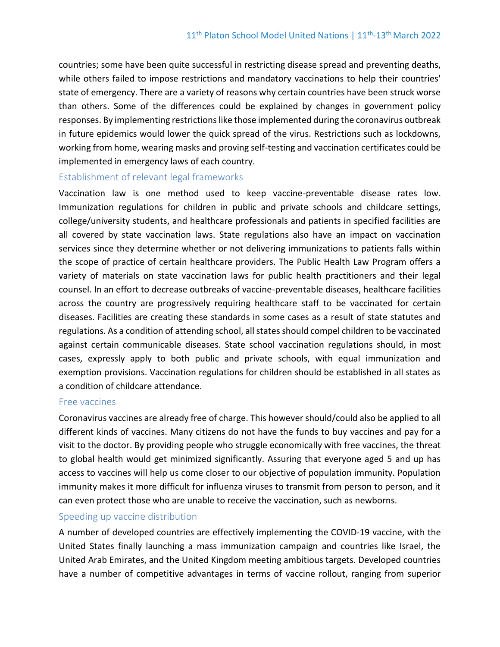countries; some have been quite successful in restricting disease spread and preventing deaths, while others failed to impose restrictions and mandatory vaccinations to help their countries' state of emergency. There are a variety of reasons why certain countries have been struck worse than others. Some of the differences could be explained by changes in government policy responses. By implementing restrictions like those implemented during the coronavirus outbreak in future epidemics would lower the quick spread of the virus. Restrictions such as lockdowns, working from home, wearing masks and proving self-testing and vaccination certificates could be implemented in emergency laws of each country.

#### Establishment of relevant legal frameworks

Vaccination law is one method used to keep vaccine-preventable disease rates low. Immunization regulations for children in public and private schools and childcare settings, college/university students, and healthcare professionals and patients in specified facilities are all covered by state vaccination laws. State regulations also have an impact on vaccination services since they determine whether or not delivering immunizations to patients falls within the scope of practice of certain healthcare providers. The Public Health Law Program offers a variety of materials on state vaccination laws for public health practitioners and their legal counsel. In an effort to decrease outbreaks of vaccine-preventable diseases, healthcare facilities across the country are progressively requiring healthcare staff to be vaccinated for certain diseases. Facilities are creating these standards in some cases as a result of state statutes and regulations. As a condition of attending school, all states should compel children to be vaccinated against certain communicable diseases. State school vaccination regulations should, in most cases, expressly apply to both public and private schools, with equal immunization and exemption provisions. Vaccination regulations for children should be established in all states as a condition of childcare attendance.

#### Free vaccines

Coronavirus vaccines are already free of charge. This however should/could also be applied to all different kinds of vaccines. Many citizens do not have the funds to buy vaccines and pay for a visit to the doctor. By providing people who struggle economically with free vaccines, the threat to global health would get minimized significantly. Assuring that everyone aged 5 and up has access to vaccines will help us come closer to our objective of population immunity. Population immunity makes it more difficult for influenza viruses to transmit from person to person, and it can even protect those who are unable to receive the vaccination, such as newborns.

## Speeding up vaccine distribution

A number of developed countries are effectively implementing the COVID-19 vaccine, with the United States finally launching a mass immunization campaign and countries like Israel, the United Arab Emirates, and the United Kingdom meeting ambitious targets. Developed countries have a number of competitive advantages in terms of vaccine rollout, ranging from superior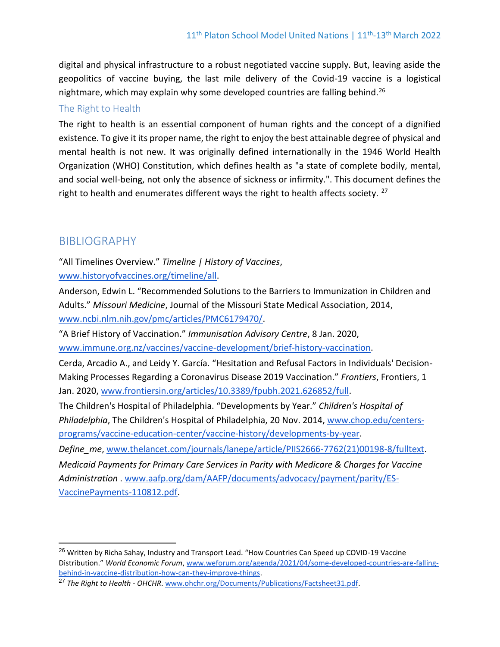digital and physical infrastructure to a robust negotiated vaccine supply. But, leaving aside the geopolitics of vaccine buying, the last mile delivery of the Covid-19 vaccine is a logistical nightmare, which may explain why some developed countries are falling behind.<sup>26</sup>

## The Right to Health

The right to health is an essential component of human rights and the concept of a dignified existence. To give it its proper name, the right to enjoy the best attainable degree of physical and mental health is not new. It was originally defined internationally in the 1946 World Health Organization (WHO) Constitution, which defines health as "a state of complete bodily, mental, and social well-being, not only the absence of sickness or infirmity.". This document defines the right to health and enumerates different ways the right to health affects society.  $^{27}$ 

## BIBLIOGRAPHY

"All Timelines Overview." *Timeline | History of Vaccines*, [www.historyofvaccines.org/timeline/all.](http://www.historyofvaccines.org/timeline/all)

Anderson, Edwin L. "Recommended Solutions to the Barriers to Immunization in Children and Adults." *Missouri Medicine*, Journal of the Missouri State Medical Association, 2014, [www.ncbi.nlm.nih.gov/pmc/articles/PMC6179470/.](http://www.ncbi.nlm.nih.gov/pmc/articles/PMC6179470/)

"A Brief History of Vaccination." *Immunisation Advisory Centre*, 8 Jan. 2020, [www.immune.org.nz/vaccines/vaccine-development/brief-history-vaccination.](http://www.immune.org.nz/vaccines/vaccine-development/brief-history-vaccination)

Cerda, Arcadio A., and Leidy Y. García. "Hesitation and Refusal Factors in Individuals' Decision-Making Processes Regarding a Coronavirus Disease 2019 Vaccination." *Frontiers*, Frontiers, 1 Jan. 2020[, www.frontiersin.org/articles/10.3389/fpubh.2021.626852/full.](http://www.frontiersin.org/articles/10.3389/fpubh.2021.626852/full)

The Children's Hospital of Philadelphia. "Developments by Year." *Children's Hospital of Philadelphia*, The Children's Hospital of Philadelphia, 20 Nov. 2014, [www.chop.edu/centers](http://www.chop.edu/centers-programs/vaccine-education-center/vaccine-history/developments-by-year)[programs/vaccine-education-center/vaccine-history/developments-by-year.](http://www.chop.edu/centers-programs/vaccine-education-center/vaccine-history/developments-by-year)

*Define\_me*, [www.thelancet.com/journals/lanepe/article/PIIS2666-7762\(21\)00198-8/fulltext.](http://www.thelancet.com/journals/lanepe/article/PIIS2666-7762(21)00198-8/fulltext) *Medicaid Payments for Primary Care Services in Parity with Medicare & Charges for Vaccine Administration* . [www.aafp.org/dam/AAFP/documents/advocacy/payment/parity/ES-](http://www.aafp.org/dam/AAFP/documents/advocacy/payment/parity/ES-VaccinePayments-110812.pdf)[VaccinePayments-110812.pdf.](http://www.aafp.org/dam/AAFP/documents/advocacy/payment/parity/ES-VaccinePayments-110812.pdf)

<sup>&</sup>lt;sup>26</sup> Written by Richa Sahay, Industry and Transport Lead. "How Countries Can Speed up COVID-19 Vaccine Distribution." *World Economic Forum*[, www.weforum.org/agenda/2021/04/some-developed-countries-are-falling](http://www.weforum.org/agenda/2021/04/some-developed-countries-are-falling-behind-in-vaccine-distribution-how-can-they-improve-things)[behind-in-vaccine-distribution-how-can-they-improve-things.](http://www.weforum.org/agenda/2021/04/some-developed-countries-are-falling-behind-in-vaccine-distribution-how-can-they-improve-things)

<sup>27</sup> *The Right to Health - OHCHR*[. www.ohchr.org/Documents/Publications/Factsheet31.pdf.](http://www.ohchr.org/Documents/Publications/Factsheet31.pdf)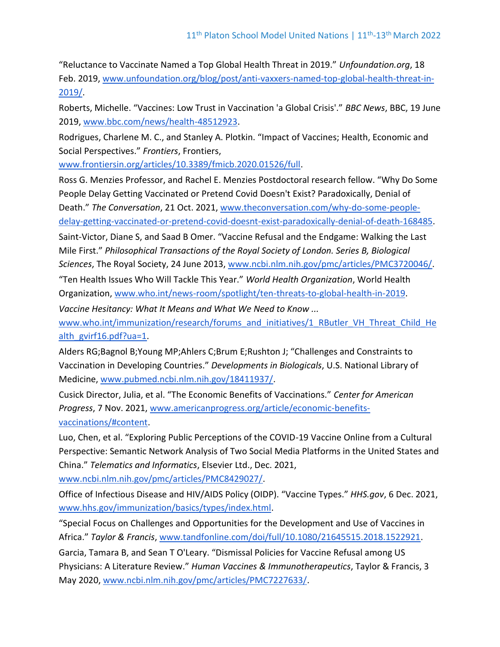"Reluctance to Vaccinate Named a Top Global Health Threat in 2019." *Unfoundation.org*, 18 Feb. 2019, [www.unfoundation.org/blog/post/anti-vaxxers-named-top-global-health-threat-in-](http://www.unfoundation.org/blog/post/anti-vaxxers-named-top-global-health-threat-in-2019/)[2019/.](http://www.unfoundation.org/blog/post/anti-vaxxers-named-top-global-health-threat-in-2019/)

Roberts, Michelle. "Vaccines: Low Trust in Vaccination 'a Global Crisis'." *BBC News*, BBC, 19 June 2019, [www.bbc.com/news/health-48512923.](http://www.bbc.com/news/health-48512923)

Rodrigues, Charlene M. C., and Stanley A. Plotkin. "Impact of Vaccines; Health, Economic and Social Perspectives." *Frontiers*, Frontiers,

[www.frontiersin.org/articles/10.3389/fmicb.2020.01526/full.](http://www.frontiersin.org/articles/10.3389/fmicb.2020.01526/full)

Ross G. Menzies Professor, and Rachel E. Menzies Postdoctoral research fellow. "Why Do Some People Delay Getting Vaccinated or Pretend Covid Doesn't Exist? Paradoxically, Denial of Death." *The Conversation*, 21 Oct. 2021, [www.theconversation.com/why-do-some-people](http://www.theconversation.com/why-do-some-people-delay-getting-vaccinated-or-pretend-covid-doesnt-exist-paradoxically-denial-of-death-168485)[delay-getting-vaccinated-or-pretend-covid-doesnt-exist-paradoxically-denial-of-death-168485.](http://www.theconversation.com/why-do-some-people-delay-getting-vaccinated-or-pretend-covid-doesnt-exist-paradoxically-denial-of-death-168485)

Saint-Victor, Diane S, and Saad B Omer. "Vaccine Refusal and the Endgame: Walking the Last Mile First." *Philosophical Transactions of the Royal Society of London. Series B, Biological Sciences*, The Royal Society, 24 June 2013, [www.ncbi.nlm.nih.gov/pmc/articles/PMC3720046/.](http://www.ncbi.nlm.nih.gov/pmc/articles/PMC3720046/)

"Ten Health Issues Who Will Tackle This Year." *World Health Organization*, World Health Organization, [www.who.int/news-room/spotlight/ten-threats-to-global-health-in-2019.](http://www.who.int/news-room/spotlight/ten-threats-to-global-health-in-2019)

*Vaccine Hesitancy: What It Means and What We Need to Know ...*

[www.who.int/immunization/research/forums\\_and\\_initiatives/1\\_RButler\\_VH\\_Threat\\_Child\\_He](http://www.who.int/immunization/research/forums_and_initiatives/1_RButler_VH_Threat_Child_Health_gvirf16.pdf?ua=1) [alth\\_gvirf16.pdf?ua=1.](http://www.who.int/immunization/research/forums_and_initiatives/1_RButler_VH_Threat_Child_Health_gvirf16.pdf?ua=1)

Alders RG;Bagnol B;Young MP;Ahlers C;Brum E;Rushton J; "Challenges and Constraints to Vaccination in Developing Countries." *Developments in Biologicals*, U.S. National Library of Medicine, [www.pubmed.ncbi.nlm.nih.gov/18411937/.](http://www.pubmed.ncbi.nlm.nih.gov/18411937/)

Cusick Director, Julia, et al. "The Economic Benefits of Vaccinations." *Center for American Progress*, 7 Nov. 2021, [www.americanprogress.org/article/economic-benefits](http://www.americanprogress.org/article/economic-benefits-vaccinations/#content)[vaccinations/#content.](http://www.americanprogress.org/article/economic-benefits-vaccinations/#content)

Luo, Chen, et al. "Exploring Public Perceptions of the COVID-19 Vaccine Online from a Cultural Perspective: Semantic Network Analysis of Two Social Media Platforms in the United States and China." *Telematics and Informatics*, Elsevier Ltd., Dec. 2021,

[www.ncbi.nlm.nih.gov/pmc/articles/PMC8429027/.](http://www.ncbi.nlm.nih.gov/pmc/articles/PMC8429027/)

Office of Infectious Disease and HIV/AIDS Policy (OIDP). "Vaccine Types." *HHS.gov*, 6 Dec. 2021, [www.hhs.gov/immunization/basics/types/index.html.](http://www.hhs.gov/immunization/basics/types/index.html)

"Special Focus on Challenges and Opportunities for the Development and Use of Vaccines in Africa." *Taylor & Francis*, [www.tandfonline.com/doi/full/10.1080/21645515.2018.1522921.](http://www.tandfonline.com/doi/full/10.1080/21645515.2018.1522921)

Garcia, Tamara B, and Sean T O'Leary. "Dismissal Policies for Vaccine Refusal among US Physicians: A Literature Review." *Human Vaccines & Immunotherapeutics*, Taylor & Francis, 3 May 2020, [www.ncbi.nlm.nih.gov/pmc/articles/PMC7227633/.](http://www.ncbi.nlm.nih.gov/pmc/articles/PMC7227633/)